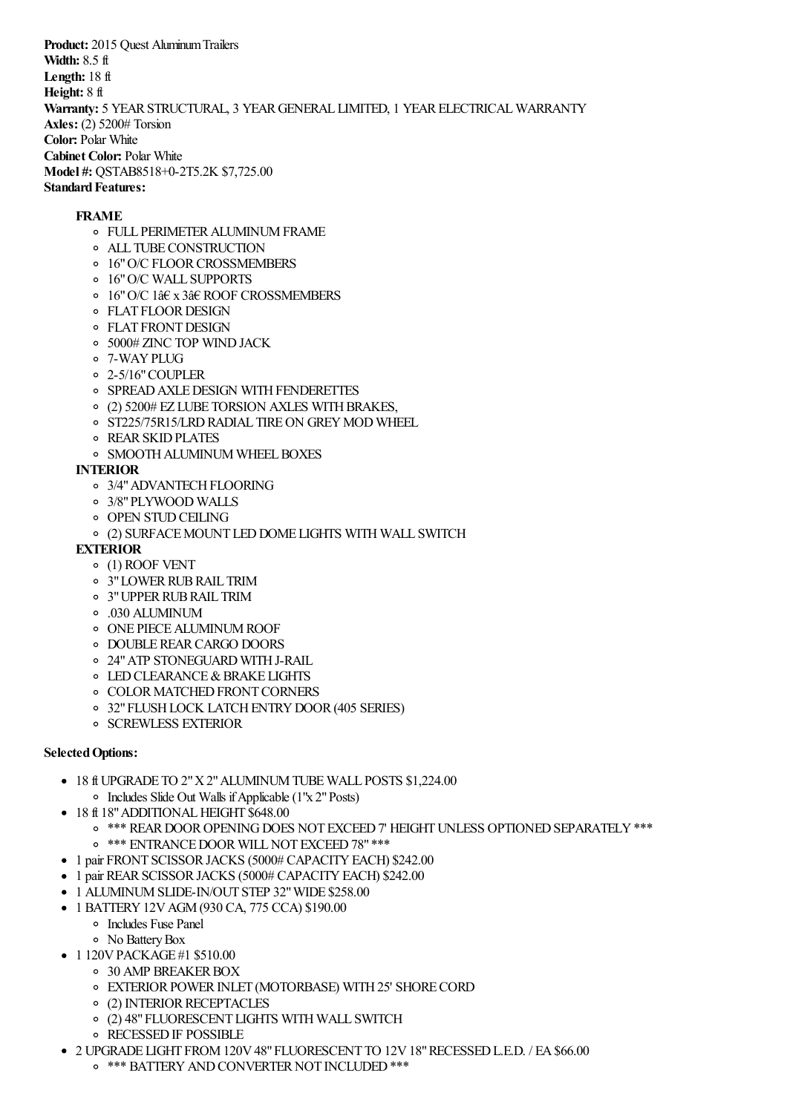**Product:** 2015 Quest Aluminum Trailers **Width:** 8.5 ft **Length:** 18 ft **Height:** 8 ft **Warranty:** 5 YEARSTRUCTURAL, 3 YEARGENERAL LIMITED, 1 YEARELECTRICALWARRANTY **Axles:** (2) 5200# Torsion **Color:** Polar White **Cabinet Color:** Polar White **Model #:** QSTAB8518+0-2T5.2K \$7,725.00 **Standard Features:** 

## **FRAME**

- FULL PERIMETERALUMINUMFRAME
- ALL TUBECONSTRUCTION
- o 16" O/C FLOOR CROSSMEMBERS
- 16"O/C WALL SUPPORTS
- 16"O/C 1â€ x 3â€ ROOF CROSSMEMBERS
- o FLAT FLOOR DESIGN
- o FLAT FRONT DESIGN
- 5000# ZINC TOP WINDJACK
- 7-WAYPLUG
- 2-5/16"COUPLER
- o SPREAD AXLE DESIGN WITH FENDERETTES
- $\circ$  (2) 5200# EZ LUBE TORSION AXLES WITH BRAKES,
- o ST225/75R15/LRD RADIAL TIRE ON GREY MOD WHEEL
- **O** REAR SKID PLATES
- **O SMOOTH ALUMINUM WHEEL BOXES**

## **INTERIOR**

- o 3/4" ADVANTECH FLOORING
- 3/8"PLYWOOD WALLS
- o OPEN STUD CEILING
- (2) SURFACEMOUNT LEDDOME LIGHTS WITH WALL SWITCH

## **EXTERIOR**

- (1) ROOF VENT
- o 3" LOWER RUB RAIL TRIM
- 3"UPPERRUBRAIL TRIM
- .030 ALUMINUM
- o ONE PIECE ALUMINUM ROOF
- o DOUBLE REAR CARGO DOORS
- 24"ATP STONEGUARD WITHJ-RAIL
- **O LED CLEARANCE & BRAKE LIGHTS**
- **O COLOR MATCHED FRONT CORNERS**
- o 32" FLUSH LOCK LATCH ENTRY DOOR (405 SERIES)
- o SCREWLESS EXTERIOR

## **Selected Options:**

- 18 ft UPGRADE TO 2"X2"ALUMINUMTUBEWALL POSTS \$1,224.00
	- $\circ$  Includes Slide Out Walls if Applicable (1"x 2" Posts)
- 18 ft 18" ADDITIONAL HEIGHT \$648.00
	- o \*\*\* REAR DOOR OPENING DOES NOT EXCEED 7' HEIGHT UNLESS OPTIONED SEPARATELY \*\*\*
	- o \*\*\* ENTRANCE DOOR WILL NOT EXCEED 78" \*\*\*
- 1 pair FRONT SCISSOR JACKS (5000# CAPACITY EACH) \$242.00
- 1 pair REAR SCISSOR JACKS (5000# CAPACITY EACH) \$242.00
- 1 ALUMINUM SLIDE-IN/OUT STEP 32" WIDE \$258.00
- 1 BATTERY 12V AGM (930 CA, 775 CCA) \$190.00
	- Includes Fuse Panel
	- No BatteryBox
- 1 120V PACKAGE #1 \$510.00
	- o 30 AMP BREAKER BOX
	- o EXTERIOR POWER INLET (MOTORBASE) WITH 25' SHORE CORD
	- o (2) INTERIOR RECEPTACLES
	- (2) 48"FLUORESCENT LIGHTS WITH WALL SWITCH
	- o RECESSED IF POSSIBLE
- 2 UPGRADE LIGHT FROM120V48"FLUORESCENT TO 12V18"RECESSEDL.E.D. / EA\$66.00
	- o \*\*\* BATTERY AND CONVERTER NOT INCLUDED \*\*\*